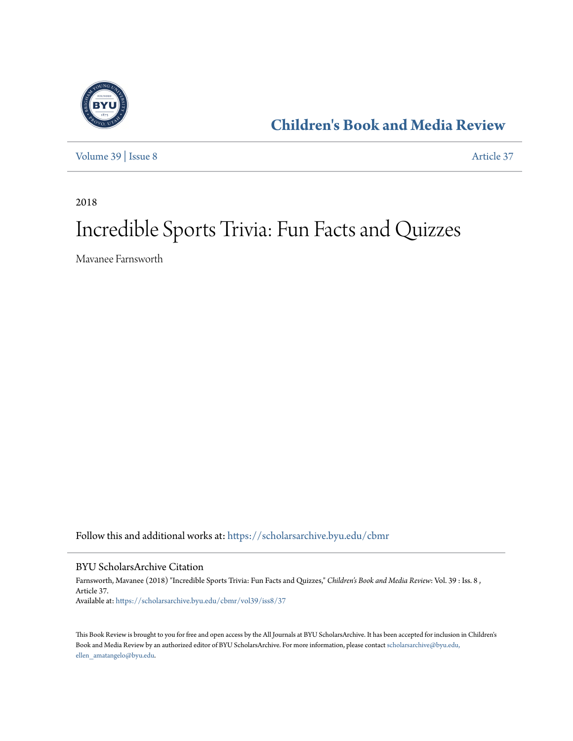

**[Children's Book and Media Review](https://scholarsarchive.byu.edu/cbmr?utm_source=scholarsarchive.byu.edu%2Fcbmr%2Fvol39%2Fiss8%2F37&utm_medium=PDF&utm_campaign=PDFCoverPages)**

[Volume 39](https://scholarsarchive.byu.edu/cbmr/vol39?utm_source=scholarsarchive.byu.edu%2Fcbmr%2Fvol39%2Fiss8%2F37&utm_medium=PDF&utm_campaign=PDFCoverPages) | [Issue 8](https://scholarsarchive.byu.edu/cbmr/vol39/iss8?utm_source=scholarsarchive.byu.edu%2Fcbmr%2Fvol39%2Fiss8%2F37&utm_medium=PDF&utm_campaign=PDFCoverPages) [Article 37](https://scholarsarchive.byu.edu/cbmr/vol39/iss8/37?utm_source=scholarsarchive.byu.edu%2Fcbmr%2Fvol39%2Fiss8%2F37&utm_medium=PDF&utm_campaign=PDFCoverPages)

2018

# Incredible Sports Trivia: Fun Facts and Quizzes

Mavanee Farnsworth

Follow this and additional works at: [https://scholarsarchive.byu.edu/cbmr](https://scholarsarchive.byu.edu/cbmr?utm_source=scholarsarchive.byu.edu%2Fcbmr%2Fvol39%2Fiss8%2F37&utm_medium=PDF&utm_campaign=PDFCoverPages)

BYU ScholarsArchive Citation

Farnsworth, Mavanee (2018) "Incredible Sports Trivia: Fun Facts and Quizzes," *Children's Book and Media Review*: Vol. 39 : Iss. 8 , Article 37. Available at: [https://scholarsarchive.byu.edu/cbmr/vol39/iss8/37](https://scholarsarchive.byu.edu/cbmr/vol39/iss8/37?utm_source=scholarsarchive.byu.edu%2Fcbmr%2Fvol39%2Fiss8%2F37&utm_medium=PDF&utm_campaign=PDFCoverPages)

This Book Review is brought to you for free and open access by the All Journals at BYU ScholarsArchive. It has been accepted for inclusion in Children's Book and Media Review by an authorized editor of BYU ScholarsArchive. For more information, please contact [scholarsarchive@byu.edu,](mailto:scholarsarchive@byu.edu,%20ellen_amatangelo@byu.edu) [ellen\\_amatangelo@byu.edu.](mailto:scholarsarchive@byu.edu,%20ellen_amatangelo@byu.edu)